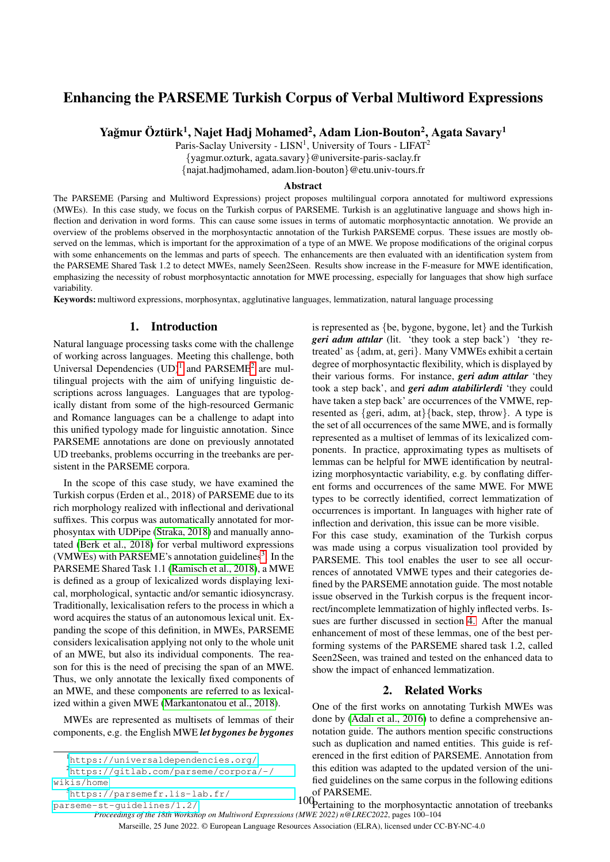# Enhancing the PARSEME Turkish Corpus of Verbal Multiword Expressions

Yağmur Öztürk<sup>1</sup>, Najet Hadj Mohamed<sup>2</sup>, Adam Lion-Bouton<sup>2</sup>, Agata Savary<sup>1</sup>

Paris-Saclay University - LISN<sup>1</sup>, University of Tours - LIFAT<sup>2</sup>

{yagmur.ozturk, agata.savary}@universite-paris-saclay.fr

{najat.hadjmohamed, adam.lion-bouton}@etu.univ-tours.fr

### Abstract

The PARSEME (Parsing and Multiword Expressions) project proposes multilingual corpora annotated for multiword expressions (MWEs). In this case study, we focus on the Turkish corpus of PARSEME. Turkish is an agglutinative language and shows high inflection and derivation in word forms. This can cause some issues in terms of automatic morphosyntactic annotation. We provide an overview of the problems observed in the morphosyntactic annotation of the Turkish PARSEME corpus. These issues are mostly observed on the lemmas, which is important for the approximation of a type of an MWE. We propose modifications of the original corpus with some enhancements on the lemmas and parts of speech. The enhancements are then evaluated with an identification system from the PARSEME Shared Task 1.2 to detect MWEs, namely Seen2Seen. Results show increase in the F-measure for MWE identification, emphasizing the necessity of robust morphosyntactic annotation for MWE processing, especially for languages that show high surface variability.

Keywords: multiword expressions, morphosyntax, agglutinative languages, lemmatization, natural language processing

## 1. Introduction

Natural language processing tasks come with the challenge of working across languages. Meeting this challenge, both Universal Dependencies  $(UD)^1$  $(UD)^1$  and PARSEME<sup>[2](#page-0-1)</sup> are multilingual projects with the aim of unifying linguistic descriptions across languages. Languages that are typologically distant from some of the high-resourced Germanic and Romance languages can be a challenge to adapt into this unified typology made for linguistic annotation. Since PARSEME annotations are done on previously annotated UD treebanks, problems occurring in the treebanks are persistent in the PARSEME corpora.

In the scope of this case study, we have examined the Turkish corpus (Erden et al., 2018) of PARSEME due to its rich morphology realized with inflectional and derivational suffixes. This corpus was automatically annotated for morphosyntax with UDPipe [\(Straka, 2018\)](#page-4-0) and manually annotated [\(Berk et al., 2018\)](#page-4-1) for verbal multiword expressions (VMWEs) with PARSEME's annotation guidelines<sup>[3](#page-0-2)</sup>. In the PARSEME Shared Task 1.1 [\(Ramisch et al., 2018\)](#page-4-2), a MWE is defined as a group of lexicalized words displaying lexical, morphological, syntactic and/or semantic idiosyncrasy. Traditionally, lexicalisation refers to the process in which a word acquires the status of an autonomous lexical unit. Expanding the scope of this definition, in MWEs, PARSEME considers lexicalisation applying not only to the whole unit of an MWE, but also its individual components. The reason for this is the need of precising the span of an MWE. Thus, we only annotate the lexically fixed components of an MWE, and these components are referred to as lexicalized within a given MWE [\(Markantonatou et al., 2018\)](#page-4-3).

MWEs are represented as multisets of lemmas of their components, e.g. the English MWE *let bygones be bygones*

[parseme-st-guidelines/1.2/](https://parsemefr.lis-lab.fr/parseme-st-guidelines/1.2/)

is represented as {be, bygone, bygone, let} and the Turkish *geri adım attılar* (lit. 'they took a step back') 'they retreated' as {adım, at, geri}. Many VMWEs exhibit a certain degree of morphosyntactic flexibility, which is displayed by their various forms. For instance, *geri adım attılar* 'they took a step back', and *geri adım atabilirlerdi* 'they could have taken a step back' are occurrences of the VMWE, represented as  $\{geri, adm, at\}$ {back, step, throw}. A type is the set of all occurrences of the same MWE, and is formally represented as a multiset of lemmas of its lexicalized components. In practice, approximating types as multisets of lemmas can be helpful for MWE identification by neutralizing morphosyntactic variability, e.g. by conflating different forms and occurrences of the same MWE. For MWE types to be correctly identified, correct lemmatization of occurrences is important. In languages with higher rate of inflection and derivation, this issue can be more visible. For this case study, examination of the Turkish corpus

was made using a corpus visualization tool provided by PARSEME. This tool enables the user to see all occurrences of annotated VMWE types and their categories defined by the PARSEME annotation guide. The most notable issue observed in the Turkish corpus is the frequent incorrect/incomplete lemmatization of highly inflected verbs. Issues are further discussed in section [4.](#page-2-0) After the manual enhancement of most of these lemmas, one of the best performing systems of the PARSEME shared task 1.2, called Seen2Seen, was trained and tested on the enhanced data to show the impact of enhanced lemmatization.

### 2. Related Works

One of the first works on annotating Turkish MWEs was done by [\(Adalı et al., 2016\)](#page-4-4) to define a comprehensive annotation guide. The authors mention specific constructions such as duplication and named entities. This guide is referenced in the first edition of PARSEME. Annotation from this edition was adapted to the updated version of the unified guidelines on the same corpus in the following editions of PARSEME.

Marseille, 25 June 2022. © European Language Resources Association (ELRA), licensed under CC-BY-NC-4.0

<span id="page-0-1"></span><span id="page-0-0"></span><sup>1</sup><https://universaldependencies.org/>

<sup>2</sup>[https://gitlab.com/parseme/corpora/-/](https://gitlab.com/parseme/corpora/-/wikis/home) [wikis/home](https://gitlab.com/parseme/corpora/-/wikis/home)

<span id="page-0-2"></span><sup>3</sup>[https://parsemefr.lis-lab.fr/](https://parsemefr.lis-lab.fr/parseme-st-guidelines/1.2/)

*Proceedings of the 18th Workshop on Multiword Expressions (MWE 2022) n@LREC2022*, pages 100–104 100 Pertaining to the morphosyntactic annotation of treebanks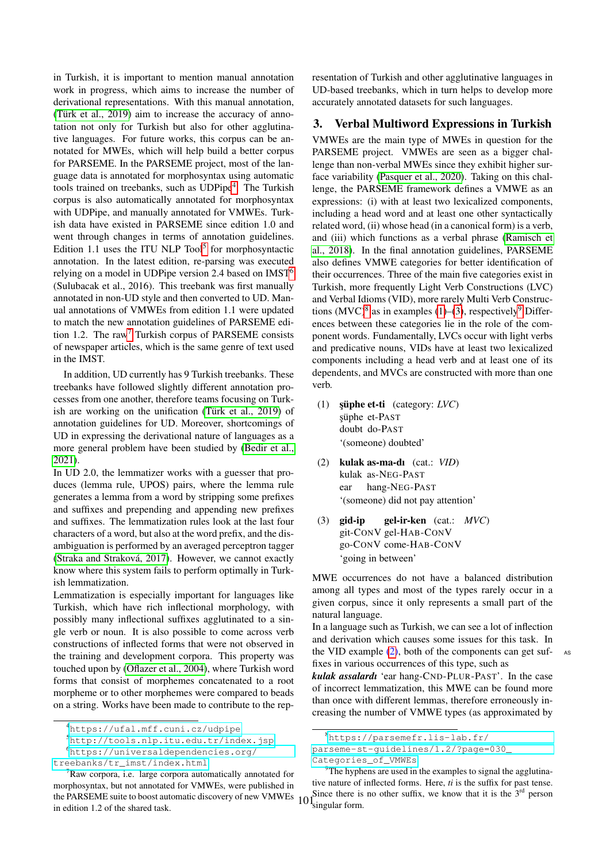in Turkish, it is important to mention manual annotation work in progress, which aims to increase the number of derivational representations. With this manual annotation, (Türk et al.,  $2019$ ) aim to increase the accuracy of annotation not only for Turkish but also for other agglutinative languages. For future works, this corpus can be annotated for MWEs, which will help build a better corpus for PARSEME. In the PARSEME project, most of the language data is annotated for morphosyntax using automatic tools trained on treebanks, such as UDPipe<sup>[4](#page-1-0)</sup>. The Turkish corpus is also automatically annotated for morphosyntax with UDPipe, and manually annotated for VMWEs. Turkish data have existed in PARSEME since edition 1.0 and went through changes in terms of annotation guidelines. Edition 1.1 uses the ITU NLP Tool<sup>[5](#page-1-1)</sup> for morphosyntactic annotation. In the latest edition, re-parsing was executed relying on a model in UDPipe version 2.4 based on IMST[6](#page-1-2) (Sulubacak et al., 2016). This treebank was first manually annotated in non-UD style and then converted to UD. Manual annotations of VMWEs from edition 1.1 were updated to match the new annotation guidelines of PARSEME edi-tion 1.2. The raw<sup>[7](#page-1-3)</sup> Turkish corpus of PARSEME consists of newspaper articles, which is the same genre of text used in the IMST.

In addition, UD currently has 9 Turkish treebanks. These treebanks have followed slightly different annotation processes from one another, therefore teams focusing on Turkish are working on the unification (Türk et al.,  $2019$ ) of annotation guidelines for UD. Moreover, shortcomings of UD in expressing the derivational nature of languages as a more general problem have been studied by [\(Bedir et al.,](#page-4-6) [2021\)](#page-4-6).

In UD 2.0, the lemmatizer works with a guesser that produces (lemma rule, UPOS) pairs, where the lemma rule generates a lemma from a word by stripping some prefixes and suffixes and prepending and appending new prefixes and suffixes. The lemmatization rules look at the last four characters of a word, but also at the word prefix, and the disambiguation is performed by an averaged perceptron tagger (Straka and Straková, 2017). However, we cannot exactly know where this system fails to perform optimally in Turkish lemmatization.

Lemmatization is especially important for languages like Turkish, which have rich inflectional morphology, with possibly many inflectional suffixes agglutinated to a single verb or noun. It is also possible to come across verb constructions of inflected forms that were not observed in the training and development corpora. This property was touched upon by [\(Oflazer et al., 2004\)](#page-4-8), where Turkish word forms that consist of morphemes concatenated to a root morpheme or to other morphemes were compared to beads on a string. Works have been made to contribute to the rep-

<span id="page-1-2"></span><sup>6</sup>[https://universaldependencies.org/](https://universaldependencies.org/treebanks/tr_imst/index.html)

resentation of Turkish and other agglutinative languages in UD-based treebanks, which in turn helps to develop more accurately annotated datasets for such languages.

## 3. Verbal Multiword Expressions in Turkish

VMWEs are the main type of MWEs in question for the PARSEME project. VMWEs are seen as a bigger challenge than non-verbal MWEs since they exhibit higher surface variability [\(Pasquer et al., 2020\)](#page-4-9). Taking on this challenge, the PARSEME framework defines a VMWE as an expressions: (i) with at least two lexicalized components, including a head word and at least one other syntactically related word, (ii) whose head (in a canonical form) is a verb, and (iii) which functions as a verbal phrase [\(Ramisch et](#page-4-2) [al., 2018\)](#page-4-2). In the final annotation guidelines, PARSEME also defines VMWE categories for better identification of their occurrences. Three of the main five categories exist in Turkish, more frequently Light Verb Constructions (LVC) and Verbal Idioms (VID), more rarely Multi Verb Constructions  $(MVC)^8$  $(MVC)^8$  as in examples [\(1\)](#page-1-5)–[\(3\)](#page-1-6), respectively<sup>[9](#page-1-7)</sup> Differences between these categories lie in the role of the component words. Fundamentally, LVCs occur with light verbs and predicative nouns, VIDs have at least two lexicalized components including a head verb and at least one of its dependents, and MVCs are constructed with more than one verb.

- <span id="page-1-5"></span>(1) **şüphe et-ti** (category: *LVC*) şüphe et-PAST doubt do-PAST '(someone) doubted'
- <span id="page-1-8"></span>(2) kulak as-ma-dı (cat.: *VID*) kulak as-NEG-PAST ear hang-NEG-PAST '(someone) did not pay attention'
- <span id="page-1-6"></span>(3) gid-ip git-CONV gel-HAB-CONV go-CONV come-HAB-CONV gel-ir-ken (cat.: *MVC*) 'going in between'

MWE occurrences do not have a balanced distribution among all types and most of the types rarely occur in a given corpus, since it only represents a small part of the natural language.

In a language such as Turkish, we can see a lot of inflection and derivation which causes some issues for this task. In the VID example  $(2)$ , both of the components can get suffixes in various occurrences of this type, such as

*kulak assalardı* 'ear hang-CND-PLUR-PAST'. In the case of incorrect lemmatization, this MWE can be found more than once with different lemmas, therefore erroneously increasing the number of VMWE types (as approximated by

<span id="page-1-0"></span><sup>4</sup><https://ufal.mff.cuni.cz/udpipe>

<span id="page-1-1"></span><sup>5</sup><http://tools.nlp.itu.edu.tr/index.jsp>

[treebanks/tr\\_imst/index.html](https://universaldependencies.org/treebanks/tr_imst/index.html)

<span id="page-1-3"></span>the PARSEME suite to boost automatic discovery of new VMWEs  $101$  $\sqrt{7}$ Raw corpora, i.e. large corpora automatically annotated for morphosyntax, but not annotated for VMWEs, were published in in edition 1.2 of the shared task.

<span id="page-1-4"></span><sup>8</sup>[https://parsemefr.lis-lab.fr/](https://parsemefr.lis-lab.fr/parseme-st-guidelines/1.2/?page=030_Categories_of_VMWEs)

[parseme-st-guidelines/1.2/?page=030\\_](https://parsemefr.lis-lab.fr/parseme-st-guidelines/1.2/?page=030_Categories_of_VMWEs)

<span id="page-1-7"></span>[Categories\\_of\\_VMWEs](https://parsemefr.lis-lab.fr/parseme-st-guidelines/1.2/?page=030_Categories_of_VMWEs)

<sup>&</sup>lt;sup>9</sup>The hyphens are used in the examples to signal the agglutinative nature of inflected forms. Here, *ti* is the suffix for past tense. Since there is no other suffix, we know that it is the  $3<sup>rd</sup>$  person <sup>I</sup>singular form.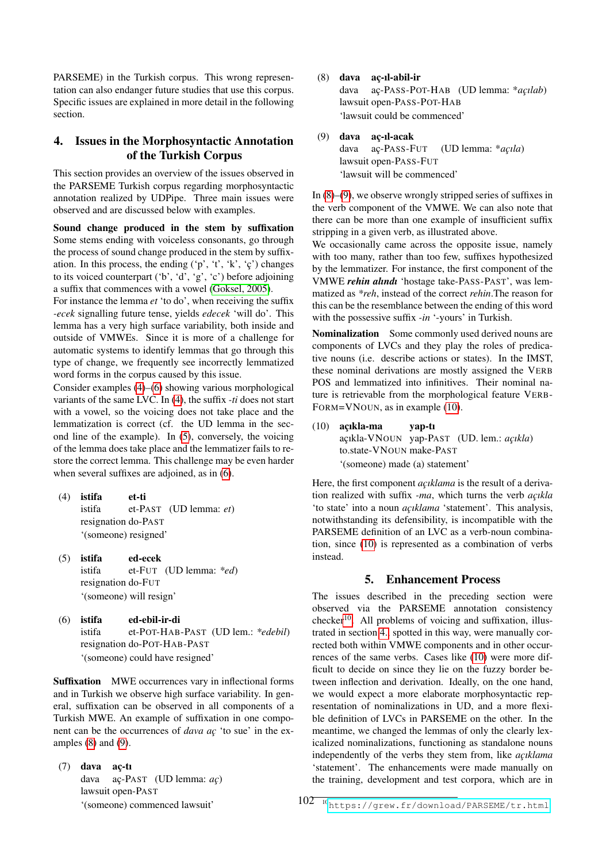PARSEME) in the Turkish corpus. This wrong representation can also endanger future studies that use this corpus. Specific issues are explained in more detail in the following section.

## <span id="page-2-0"></span>4. Issues in the Morphosyntactic Annotation of the Turkish Corpus

This section provides an overview of the issues observed in the PARSEME Turkish corpus regarding morphosyntactic annotation realized by UDPipe. Three main issues were observed and are discussed below with examples.

Sound change produced in the stem by suffixation Some stems ending with voiceless consonants, go through the process of sound change produced in the stem by suffixation. In this process, the ending  $(\gamma, \dot{\tau}, \dot{\kappa}, \dot{\zeta})$  changes to its voiced counterpart ('b', 'd', 'g', 'c') before adjoining a suffix that commences with a vowel [\(Goksel, 2005\)](#page-4-10).

For instance the lemma *et* 'to do', when receiving the suffix *-ecek* signalling future tense, yields *edecek* 'will do'. This lemma has a very high surface variability, both inside and outside of VMWEs. Since it is more of a challenge for automatic systems to identify lemmas that go through this type of change, we frequently see incorrectly lemmatized word forms in the corpus caused by this issue.

Consider examples [\(4\)](#page-2-1)–[\(6\)](#page-2-2) showing various morphological variants of the same LVC. In [\(4\)](#page-2-1), the suffix *-ti* does not start with a vowel, so the voicing does not take place and the lemmatization is correct (cf. the UD lemma in the second line of the example). In [\(5\)](#page-2-3), conversely, the voicing of the lemma does take place and the lemmatizer fails to restore the correct lemma. This challenge may be even harder when several suffixes are adjoined, as in [\(6\)](#page-2-2).

- <span id="page-2-1"></span>(4) istifa istifa resignation do-PAST et-ti et-PAST (UD lemma: *et*) '(someone) resigned'
- <span id="page-2-3"></span>(5) istifa istifa resignation do-FUT ed-ecek et-FUT (UD lemma: *\*ed*) '(someone) will resign'
- <span id="page-2-2"></span>(6) istifa istifa resignation do-POT-HAB-PAST ed-ebil-ir-di et-POT-HAB-PAST (UD lem.: *\*edebil*) '(someone) could have resigned'

Suffixation MWE occurrences vary in inflectional forms and in Turkish we observe high surface variability. In general, suffixation can be observed in all components of a Turkish MWE. An example of suffixation in one component can be the occurrences of *dava ac¸* 'to sue' in the examples  $(8)$  and  $(9)$ .

 $(7)$  dava aç-tı dava lawsuit open-PAST aç-PAST (UD lemma: *aç*) '(someone) commenced lawsuit'

<span id="page-2-4"></span>(8) dava ac¸-ıl-abil-ir

dava lawsuit open-PASS-POT-HAB aç-PASS-POT-HAB (UD lemma: \**açılab*) 'lawsuit could be commenced'

#### <span id="page-2-5"></span>(9) dava ac¸-ıl-acak

dava lawsuit open-PASS-FUT aç-PASS-FUT (UD lemma: \**açıla*) 'lawsuit will be commenced'

In  $(8)$ – $(9)$ , we observe wrongly stripped series of suffixes in the verb component of the VMWE. We can also note that there can be more than one example of insufficient suffix stripping in a given verb, as illustrated above.

We occasionally came across the opposite issue, namely with too many, rather than too few, suffixes hypothesized by the lemmatizer. For instance, the first component of the VMWE *rehin alındı* 'hostage take-PASS-PAST', was lemmatized as *\*reh*, instead of the correct *rehin*.The reason for this can be the resemblance between the ending of this word with the possessive suffix *-in* '-yours' in Turkish.

Nominalization Some commonly used derived nouns are components of LVCs and they play the roles of predicative nouns (i.e. describe actions or states). In the IMST, these nominal derivations are mostly assigned the VERB POS and lemmatized into infinitives. Their nominal nature is retrievable from the morphological feature VERB-FORM=VNOUN, as in example [\(10\)](#page-2-6).

<span id="page-2-6"></span> $(10)$  acıkla-ma açıkla-VNOUN yap-PAST (UD. lem.: *açıkla*) to.state-VNOUN make-PAST yap-tı '(someone) made (a) statement'

Here, the first component *açıklama* is the result of a derivation realized with suffix *-ma*, which turns the verb *açıkla* 'to state' into a noun *açıklama* 'statement'. This analysis, notwithstanding its defensibility, is incompatible with the PARSEME definition of an LVC as a verb-noun combination, since [\(10\)](#page-2-6) is represented as a combination of verbs instead.

## 5. Enhancement Process

The issues described in the preceding section were observed via the PARSEME annotation consistency  $checker<sup>10</sup>$  $checker<sup>10</sup>$  $checker<sup>10</sup>$ . All problems of voicing and suffixation, illustrated in section [4.,](#page-2-0) spotted in this way, were manually corrected both within VMWE components and in other occurrences of the same verbs. Cases like [\(10\)](#page-2-6) were more difficult to decide on since they lie on the fuzzy border between inflection and derivation. Ideally, on the one hand, we would expect a more elaborate morphosyntactic representation of nominalizations in UD, and a more flexible definition of LVCs in PARSEME on the other. In the meantime, we changed the lemmas of only the clearly lexicalized nominalizations, functioning as standalone nouns independently of the verbs they stem from, like *açıklama* 'statement'. The enhancements were made manually on the training, development and test corpora, which are in

<span id="page-2-7"></span>102<sup>10</sup><https://grew.fr/download/PARSEME/tr.html>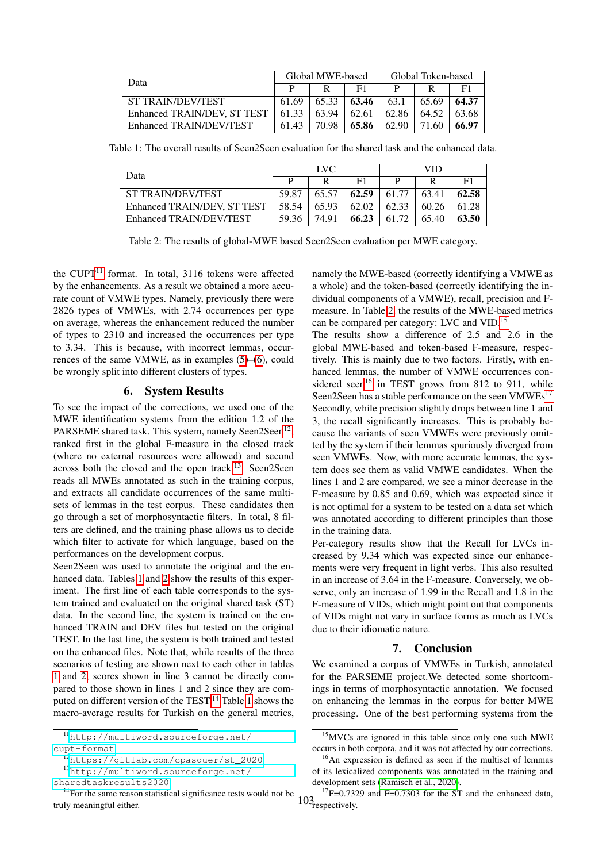| Data                                | Global MWE-based |       |       | Global Token-based |       |       |
|-------------------------------------|------------------|-------|-------|--------------------|-------|-------|
|                                     |                  |       | F1    |                    |       | F1    |
| ST TRAIN/DEV/TEST                   | 61.69            | 65.33 | 63.46 | 63.1               | 65.69 | 64.37 |
| Enhanced TRAIN/DEV, ST TEST   61.33 |                  | 63.94 | 62.61 | 62.86              | 64.52 | 63.68 |
| Enhanced TRAIN/DEV/TEST             | 61.43            | 70.98 | 65.86 | 62.90              | 71.60 | 66.97 |

Table 1: The overall results of Seen2Seen evaluation for the shared task and the enhanced data.

<span id="page-3-3"></span>

| Data                        | LVC   |       |       | VID   |       |       |
|-----------------------------|-------|-------|-------|-------|-------|-------|
|                             |       |       | F1    |       |       | F1    |
| <b>ST TRAIN/DEV/TEST</b>    | 59.87 | 65.57 | 62.59 | 61.77 | 63.41 | 62.58 |
| Enhanced TRAIN/DEV, ST TEST | 58.54 | 65.93 | 62.02 | 62.33 | 60.26 | 61.28 |
| Enhanced TRAIN/DEV/TEST     | 59.36 | 74.91 | 66.23 | 61.72 | 65.40 | 63.50 |

<span id="page-3-4"></span>Table 2: The results of global-MWE based Seen2Seen evaluation per MWE category.

the CUPT $^{11}$  $^{11}$  $^{11}$  format. In total, 3116 tokens were affected by the enhancements. As a result we obtained a more accurate count of VMWE types. Namely, previously there were 2826 types of VMWEs, with 2.74 occurrences per type on average, whereas the enhancement reduced the number of types to 2310 and increased the occurrences per type to 3.34. This is because, with incorrect lemmas, occurrences of the same VMWE, as in examples [\(5\)](#page-2-3)–[\(6\)](#page-2-2), could be wrongly split into different clusters of types.

## 6. System Results

To see the impact of the corrections, we used one of the MWE identification systems from the edition 1.2 of the PARSEME shared task. This system, namely Seen2Seen<sup>[12](#page-3-1)</sup>, ranked first in the global F-measure in the closed track (where no external resources were allowed) and second across both the closed and the open track.<sup>[13](#page-3-2)</sup> Seen2Seen reads all MWEs annotated as such in the training corpus, and extracts all candidate occurrences of the same multisets of lemmas in the test corpus. These candidates then go through a set of morphosyntactic filters. In total, 8 filters are defined, and the training phase allows us to decide which filter to activate for which language, based on the performances on the development corpus.

Seen2Seen was used to annotate the original and the enhanced data. Tables [1](#page-3-3) and [2](#page-3-4) show the results of this experiment. The first line of each table corresponds to the system trained and evaluated on the original shared task (ST) data. In the second line, the system is trained on the enhanced TRAIN and DEV files but tested on the original TEST. In the last line, the system is both trained and tested on the enhanced files. Note that, while results of the three scenarios of testing are shown next to each other in tables [1](#page-3-3) and [2,](#page-3-4) scores shown in line 3 cannot be directly compared to those shown in lines 1 and 2 since they are com-puted on different version of the TEST.<sup>[14](#page-3-5)</sup> Table [1](#page-3-3) shows the macro-average results for Turkish on the general metrics,

namely the MWE-based (correctly identifying a VMWE as a whole) and the token-based (correctly identifying the individual components of a VMWE), recall, precision and Fmeasure. In Table [2,](#page-3-4) the results of the MWE-based metrics can be compared per category: LVC and VID.[15](#page-3-6)

The results show a difference of 2.5 and 2.6 in the global MWE-based and token-based F-measure, respectively. This is mainly due to two factors. Firstly, with enhanced lemmas, the number of VMWE occurrences con-sidered seen<sup>[16](#page-3-7)</sup> in TEST grows from 812 to 911, while Seen2Seen has a stable performance on the seen VMWEs<sup>[17](#page-3-8)</sup> Secondly, while precision slightly drops between line 1 and 3, the recall significantly increases. This is probably because the variants of seen VMWEs were previously omitted by the system if their lemmas spuriously diverged from seen VMWEs. Now, with more accurate lemmas, the system does see them as valid VMWE candidates. When the lines 1 and 2 are compared, we see a minor decrease in the F-measure by 0.85 and 0.69, which was expected since it is not optimal for a system to be tested on a data set which was annotated according to different principles than those in the training data.

Per-category results show that the Recall for LVCs increased by 9.34 which was expected since our enhancements were very frequent in light verbs. This also resulted in an increase of 3.64 in the F-measure. Conversely, we observe, only an increase of 1.99 in the Recall and 1.8 in the F-measure of VIDs, which might point out that components of VIDs might not vary in surface forms as much as LVCs due to their idiomatic nature.

## 7. Conclusion

We examined a corpus of VMWEs in Turkish, annotated for the PARSEME project.We detected some shortcomings in terms of morphosyntactic annotation. We focused on enhancing the lemmas in the corpus for better MWE processing. One of the best performing systems from the

<span id="page-3-0"></span><sup>11</sup>[http://multiword.sourceforge.net/](http://multiword.sourceforge.net/cupt-format) [cupt-format](http://multiword.sourceforge.net/cupt-format)

<span id="page-3-2"></span><span id="page-3-1"></span><sup>12</sup>[https://gitlab.com/cpasquer/st\\_2020](https://gitlab.com/cpasquer/st_2020)

<sup>13</sup>[http://multiword.sourceforge.net/](http://multiword.sourceforge.net/sharedtaskresults2020)

[sharedtaskresults2020](http://multiword.sourceforge.net/sharedtaskresults2020)

<span id="page-3-5"></span><sup>&</sup>lt;sup>14</sup>For the same reason statistical significance tests would not be truly meaningful either.

<span id="page-3-6"></span><sup>15</sup>MVCs are ignored in this table since only one such MWE occurs in both corpora, and it was not affected by our corrections.

<span id="page-3-7"></span><sup>&</sup>lt;sup>16</sup>An expression is defined as seen if the multiset of lemmas of its lexicalized components was annotated in the training and development sets [\(Ramisch et al., 2020\)](#page-4-11).

<span id="page-3-8"></span><sup>103&</sup>lt;sub>respectively.</sub>  $17F=0.7329$  and F=0.7303 for the ST and the enhanced data,